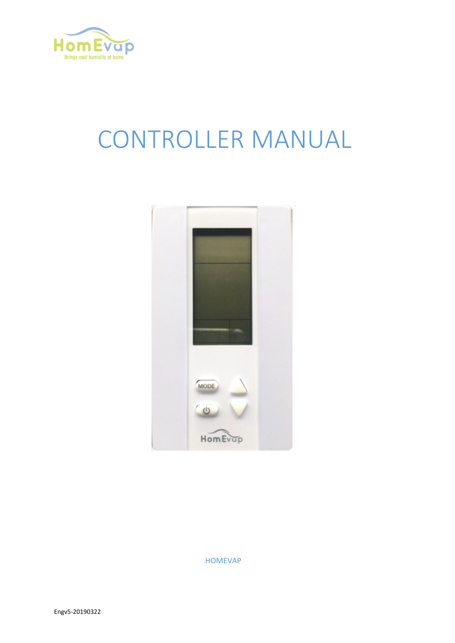

# CONTROLLER MANUAL



HOMEVAP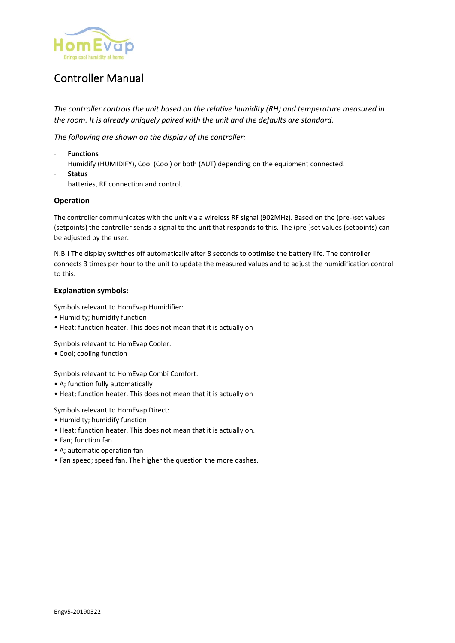

# Controller Manual

*The controller controls the unit based on the relative humidity (RH) and temperature measured in the room. It is already uniquely paired with the unit and the defaults are standard.*

*The following are shown on the display of the controller:*

- **Functions**  Humidify (HUMIDIFY), Cool (Cool) or both (AUT) depending on the equipment connected. - **Status** 
	- batteries, RF connection and control.

#### **Operation**

The controller communicates with the unit via a wireless RF signal (902MHz). Based on the (pre-)set values (setpoints) the controller sends a signal to the unit that responds to this. The (pre-)set values (setpoints) can be adjusted by the user.

N.B.! The display switches off automatically after 8 seconds to optimise the battery life. The controller connects 3 times per hour to the unit to update the measured values and to adjust the humidification control to this.

#### **Explanation symbols:**

Symbols relevant to HomEvap Humidifier:

- Humidity; humidify function
- Heat; function heater. This does not mean that it is actually on

Symbols relevant to HomEvap Cooler:

• Cool; cooling function

Symbols relevant to HomEvap Combi Comfort:

- A; function fully automatically
- Heat; function heater. This does not mean that it is actually on

Symbols relevant to HomEvap Direct:

- Humidity; humidify function
- Heat; function heater. This does not mean that it is actually on.
- Fan; function fan
- A; automatic operation fan
- Fan speed; speed fan. The higher the question the more dashes.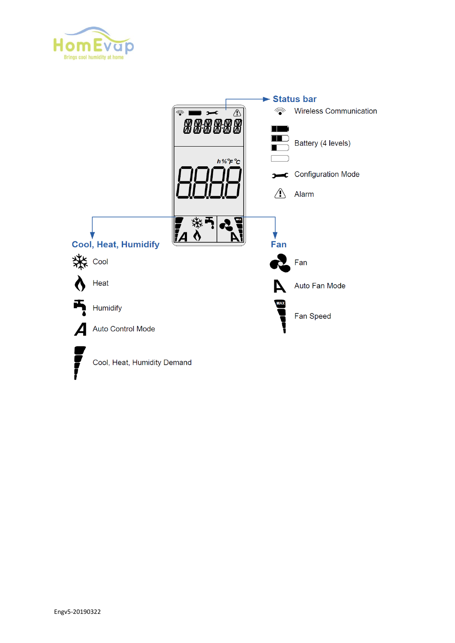

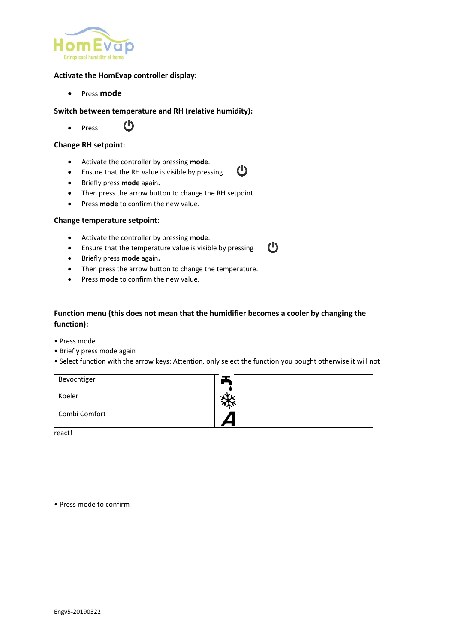

#### **Activate the HomEvap controller display:**

• Press **mode**

#### **Switch between temperature and RH (relative humidity):**

 $\mathbf{C}$ • Press:

#### **Change RH setpoint:**

- Activate the controller by pressing **mode**.
- $\mathcal{C}$ • Ensure that the RH value is visible by pressing
- Briefly press **mode** again**.**
- Then press the arrow button to change the RH setpoint.
- Press **mode** to confirm the new value.

#### **Change temperature setpoint:**

- Activate the controller by pressing **mode**.
- Ensure that the temperature value is visible by pressing
- Briefly press **mode** again**.**
- Then press the arrow button to change the temperature.
- Press **mode** to confirm the new value.

### **Function menu (this does not mean that the humidifier becomes a cooler by changing the function):**

 $\mathcal{C}$ 

- Press mode
- Briefly press mode again
- Select function with the arrow keys: Attention, only select the function you bought otherwise it will not

| Bevochtiger   |  |
|---------------|--|
| Koeler        |  |
| Combi Comfort |  |

react!

• Press mode to confirm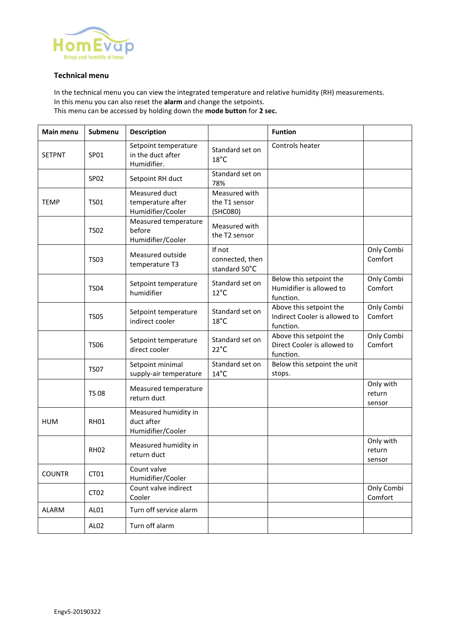

#### **Technical menu**

In the technical menu you can view the integrated temperature and relative humidity (RH) measurements. In this menu you can also reset the **alarm** and change the setpoints. This menu can be accessed by holding down the **mode button** for **2 sec.**

| Main menu                                            | Submenu                                                   | <b>Description</b>                                       |                                                                     | <b>Funtion</b>                                                        |                               |
|------------------------------------------------------|-----------------------------------------------------------|----------------------------------------------------------|---------------------------------------------------------------------|-----------------------------------------------------------------------|-------------------------------|
| <b>SETPNT</b>                                        | SP01                                                      | Setpoint temperature<br>in the duct after<br>Humidifier. | Standard set on<br>$18^{\circ}$ C                                   | Controls heater                                                       |                               |
| SP02<br>Setpoint RH duct                             |                                                           | Standard set on<br>78%                                   |                                                                     |                                                                       |                               |
| <b>TEMP</b>                                          | <b>TS01</b>                                               | Measured duct<br>temperature after<br>Humidifier/Cooler  | Measured with<br>the T1 sensor<br>(SHC080)                          |                                                                       |                               |
|                                                      | <b>TS02</b>                                               | Measured temperature<br>before<br>Humidifier/Cooler      | Measured with<br>the T2 sensor                                      |                                                                       |                               |
|                                                      | <b>TS03</b>                                               | Measured outside<br>temperature T3                       | If not<br>connected, then<br>standard 50°C                          |                                                                       | Only Combi<br>Comfort         |
| <b>TS04</b>                                          |                                                           | Setpoint temperature<br>humidifier                       | Standard set on<br>$12^{\circ}$ C                                   | Below this setpoint the<br>Humidifier is allowed to<br>function.      | Only Combi<br>Comfort         |
|                                                      | <b>TS05</b>                                               | Setpoint temperature<br>indirect cooler                  | Standard set on<br>$18^{\circ}$ C                                   | Above this setpoint the<br>Indirect Cooler is allowed to<br>function. | Only Combi<br>Comfort         |
| Setpoint temperature<br><b>TS06</b><br>direct cooler |                                                           | Standard set on<br>$22^{\circ}C$                         | Above this setpoint the<br>Direct Cooler is allowed to<br>function. | Only Combi<br>Comfort                                                 |                               |
|                                                      | Setpoint minimal<br><b>TS07</b><br>supply-air temperature |                                                          | Standard set on<br>$14^{\circ}$ C                                   | Below this setpoint the unit<br>stops.                                |                               |
| Measured temperature<br><b>TS 08</b><br>return duct  |                                                           |                                                          |                                                                     | Only with<br>return<br>sensor                                         |                               |
| <b>HUM</b>                                           | <b>RH01</b>                                               | Measured humidity in<br>duct after<br>Humidifier/Cooler  |                                                                     |                                                                       |                               |
|                                                      | <b>RH02</b>                                               | Measured humidity in<br>return duct                      |                                                                     |                                                                       | Only with<br>return<br>sensor |
| <b>COUNTR</b>                                        | CT01                                                      | Count valve<br>Humidifier/Cooler                         |                                                                     |                                                                       |                               |
|                                                      | CT <sub>02</sub>                                          | Count valve indirect<br>Cooler                           |                                                                     |                                                                       | Only Combi<br>Comfort         |
| <b>ALARM</b>                                         | AL01                                                      | Turn off service alarm                                   |                                                                     |                                                                       |                               |
|                                                      | AL <sub>02</sub>                                          | Turn off alarm                                           |                                                                     |                                                                       |                               |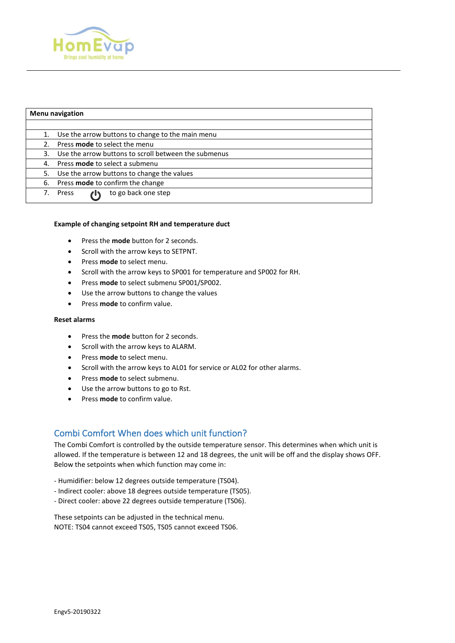

| <b>Menu navigation</b> |                                                      |  |  |  |
|------------------------|------------------------------------------------------|--|--|--|
|                        |                                                      |  |  |  |
| 1.                     | Use the arrow buttons to change to the main menu     |  |  |  |
|                        | Press mode to select the menu                        |  |  |  |
| 3.                     | Use the arrow buttons to scroll between the submenus |  |  |  |
| 4.                     | Press <b>mode</b> to select a submenu                |  |  |  |
| 5.                     | Use the arrow buttons to change the values           |  |  |  |
| 6.                     | Press mode to confirm the change                     |  |  |  |
| 7.                     | to go back one step<br>Press                         |  |  |  |

#### **Example of changing setpoint RH and temperature duct**

- Press the **mode** button for 2 seconds.
- Scroll with the arrow keys to SETPNT.
- Press **mode** to select menu.
- Scroll with the arrow keys to SP001 for temperature and SP002 for RH.
- Press **mode** to select submenu SP001/SP002.
- Use the arrow buttons to change the values
- Press **mode** to confirm value.

#### **Reset alarms**

- Press the **mode** button for 2 seconds.
- Scroll with the arrow keys to ALARM.
- Press **mode** to select menu.
- Scroll with the arrow keys to AL01 for service or AL02 for other alarms.
- Press **mode** to select submenu.
- Use the arrow buttons to go to Rst.
- Press **mode** to confirm value.

# Combi Comfort When does which unit function?

The Combi Comfort is controlled by the outside temperature sensor. This determines when which unit is allowed. If the temperature is between 12 and 18 degrees, the unit will be off and the display shows OFF. Below the setpoints when which function may come in:

- Humidifier: below 12 degrees outside temperature (TS04).
- Indirect cooler: above 18 degrees outside temperature (TS05).
- Direct cooler: above 22 degrees outside temperature (TS06).

These setpoints can be adjusted in the technical menu. NOTE: TS04 cannot exceed TS05, TS05 cannot exceed TS06.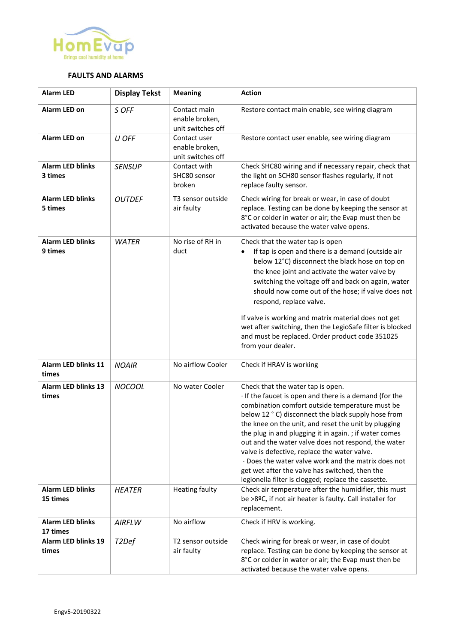

#### **FAULTS AND ALARMS**

| <b>Alarm LED</b>                    | <b>Display Tekst</b> | <b>Meaning</b>                                      | <b>Action</b>                                                                                                                                                                                                                                                                                                                                                                                                                                                                                                                                                                                 |
|-------------------------------------|----------------------|-----------------------------------------------------|-----------------------------------------------------------------------------------------------------------------------------------------------------------------------------------------------------------------------------------------------------------------------------------------------------------------------------------------------------------------------------------------------------------------------------------------------------------------------------------------------------------------------------------------------------------------------------------------------|
| Alarm LED on                        | S OFF                | Contact main<br>enable broken,<br>unit switches off | Restore contact main enable, see wiring diagram                                                                                                                                                                                                                                                                                                                                                                                                                                                                                                                                               |
| <b>Alarm LED on</b>                 | U OFF                | Contact user<br>enable broken,<br>unit switches off | Restore contact user enable, see wiring diagram                                                                                                                                                                                                                                                                                                                                                                                                                                                                                                                                               |
| <b>Alarm LED blinks</b><br>3 times  | <b>SENSUP</b>        | Contact with<br>SHC80 sensor<br>broken              | Check SHC80 wiring and if necessary repair, check that<br>the light on SCH80 sensor flashes regularly, if not<br>replace faulty sensor.                                                                                                                                                                                                                                                                                                                                                                                                                                                       |
| <b>Alarm LED blinks</b><br>5 times  | <b>OUTDEF</b>        | T3 sensor outside<br>air faulty                     | Check wiring for break or wear, in case of doubt<br>replace. Testing can be done by keeping the sensor at<br>8°C or colder in water or air; the Evap must then be<br>activated because the water valve opens.                                                                                                                                                                                                                                                                                                                                                                                 |
| <b>Alarm LED blinks</b><br>9 times  | <b>WATER</b>         | No rise of RH in<br>duct                            | Check that the water tap is open<br>If tap is open and there is a demand (outside air<br>$\bullet$<br>below 12°C) disconnect the black hose on top on<br>the knee joint and activate the water valve by<br>switching the voltage off and back on again, water<br>should now come out of the hose; if valve does not<br>respond, replace valve.<br>If valve is working and matrix material does not get<br>wet after switching, then the LegioSafe filter is blocked                                                                                                                           |
|                                     |                      |                                                     | and must be replaced. Order product code 351025<br>from your dealer.                                                                                                                                                                                                                                                                                                                                                                                                                                                                                                                          |
| <b>Alarm LED blinks 11</b><br>times | <b>NOAIR</b>         | No airflow Cooler                                   | Check if HRAV is working                                                                                                                                                                                                                                                                                                                                                                                                                                                                                                                                                                      |
| <b>Alarm LED blinks 13</b><br>times | <b>NOCOOL</b>        | No water Cooler                                     | Check that the water tap is open.<br>· If the faucet is open and there is a demand (for the<br>combination comfort outside temperature must be<br>below 12 ° C) disconnect the black supply hose from<br>the knee on the unit, and reset the unit by plugging<br>the plug in and plugging it in again.; if water comes<br>out and the water valve does not respond, the water<br>valve is defective, replace the water valve.<br>· Does the water valve work and the matrix does not<br>get wet after the valve has switched, then the<br>legionella filter is clogged; replace the cassette. |
| <b>Alarm LED blinks</b><br>15 times | <b>HEATER</b>        | <b>Heating faulty</b>                               | Check air temperature after the humidifier, this must<br>be >8ºC, if not air heater is faulty. Call installer for<br>replacement.                                                                                                                                                                                                                                                                                                                                                                                                                                                             |
| <b>Alarm LED blinks</b><br>17 times | AIRFLW               | No airflow                                          | Check if HRV is working.                                                                                                                                                                                                                                                                                                                                                                                                                                                                                                                                                                      |
| <b>Alarm LED blinks 19</b><br>times | T <sub>2</sub> Def   | T2 sensor outside<br>air faulty                     | Check wiring for break or wear, in case of doubt<br>replace. Testing can be done by keeping the sensor at<br>8°C or colder in water or air; the Evap must then be<br>activated because the water valve opens.                                                                                                                                                                                                                                                                                                                                                                                 |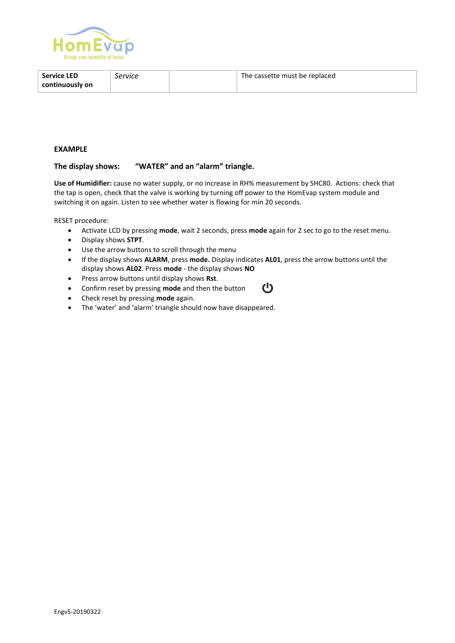

| <b>Service LED</b> | Service | The cassette must be replaced |
|--------------------|---------|-------------------------------|
| continuously on    |         |                               |

#### **EXAMPLE**

#### **The display shows: "WATER" and an "alarm" triangle.**

**Use of Humidifier:** cause no water supply, or no increase in RH% measurement by SHC80. Actions: check that the tap is open, check that the valve is working by turning off power to the HomEvap system module and switching it on again. Listen to see whether water is flowing for min 20 seconds.

RESET procedure:

- Activate LCD by pressing **mode**, wait 2 seconds, press **mode** again for 2 sec to go to the reset menu.
- Display shows **STPT**.
- Use the arrow buttons to scroll through the menu
- If the display shows **ALARM**, press **mode.** Display indicates **AL01**, press the arrow buttons until the display shows **AL02**. Press **mode** - the display shows **NO**

 $\bf{C}$ 

- Press arrow buttons until display shows **Rst**.
- Confirm reset by pressing **mode** and then the button
- Check reset by pressing **mode** again.
- The 'water' and 'alarm' triangle should now have disappeared.